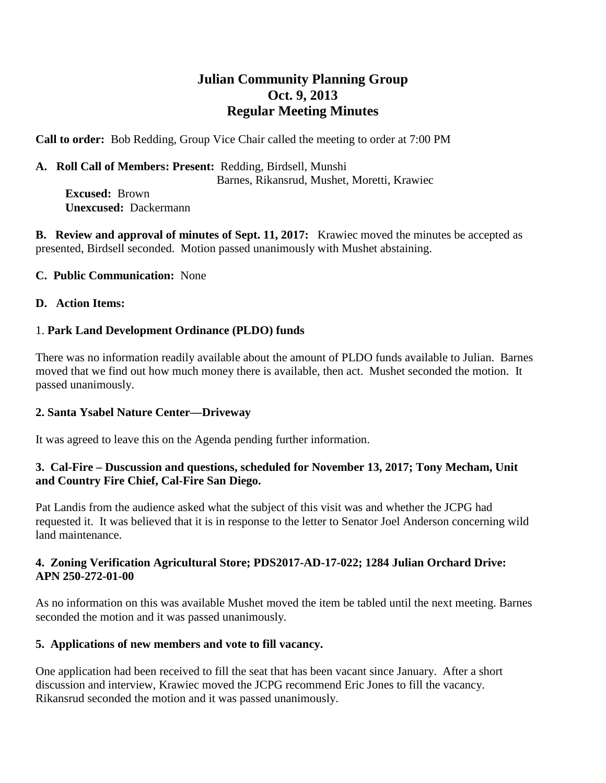# **Julian Community Planning Group Oct. 9, 2013 Regular Meeting Minutes**

**Call to order:** Bob Redding, Group Vice Chair called the meeting to order at 7:00 PM

**A. Roll Call of Members: Present:** Redding, Birdsell, Munshi Barnes, Rikansrud, Mushet, Moretti, Krawiec

 **Excused:** Brown  **Unexcused:** Dackermann

**B. Review and approval of minutes of Sept. 11, 2017:** Krawiec moved the minutes be accepted as presented, Birdsell seconded. Motion passed unanimously with Mushet abstaining.

## **C. Public Communication:** None

#### **D. Action Items:**

## 1. **Park Land Development Ordinance (PLDO) funds**

There was no information readily available about the amount of PLDO funds available to Julian. Barnes moved that we find out how much money there is available, then act. Mushet seconded the motion. It passed unanimously.

#### **2. Santa Ysabel Nature Center—Driveway**

It was agreed to leave this on the Agenda pending further information.

## **3. Cal-Fire – Duscussion and questions, scheduled for November 13, 2017; Tony Mecham, Unit and Country Fire Chief, Cal-Fire San Diego.**

Pat Landis from the audience asked what the subject of this visit was and whether the JCPG had requested it. It was believed that it is in response to the letter to Senator Joel Anderson concerning wild land maintenance.

# **4. Zoning Verification Agricultural Store; PDS2017-AD-17-022; 1284 Julian Orchard Drive: APN 250-272-01-00**

As no information on this was available Mushet moved the item be tabled until the next meeting. Barnes seconded the motion and it was passed unanimously.

# **5. Applications of new members and vote to fill vacancy.**

One application had been received to fill the seat that has been vacant since January. After a short discussion and interview, Krawiec moved the JCPG recommend Eric Jones to fill the vacancy. Rikansrud seconded the motion and it was passed unanimously.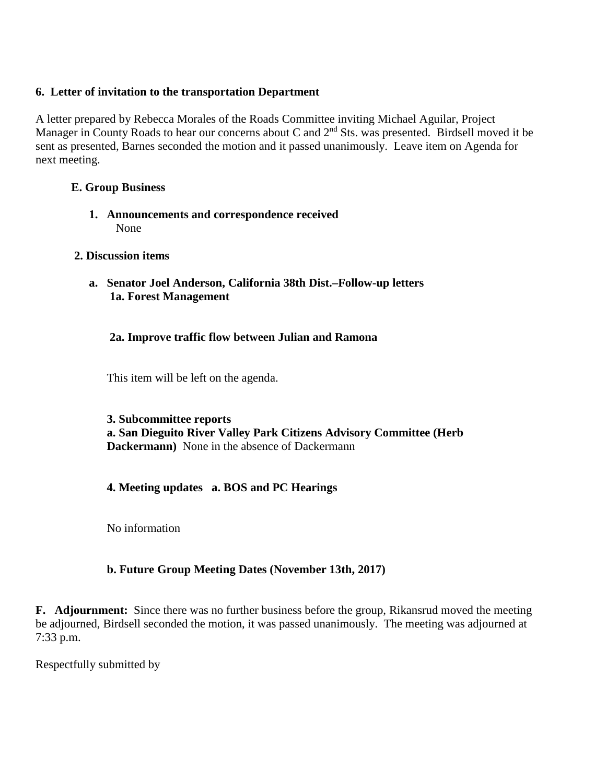## **6. Letter of invitation to the transportation Department**

A letter prepared by Rebecca Morales of the Roads Committee inviting Michael Aguilar, Project Manager in County Roads to hear our concerns about C and  $2<sup>nd</sup>$  Sts. was presented. Birdsell moved it be sent as presented, Barnes seconded the motion and it passed unanimously. Leave item on Agenda for next meeting.

# **E. Group Business**

**1. Announcements and correspondence received** None

#### **2. Discussion items**

**a. Senator Joel Anderson, California 38th Dist.–Follow-up letters 1a. Forest Management** 

## **2a. Improve traffic flow between Julian and Ramona**

This item will be left on the agenda.

#### **3. Subcommittee reports a. San Dieguito River Valley Park Citizens Advisory Committee (Herb**

**Dackermann)** None in the absence of Dackermann

# **4. Meeting updates a. BOS and PC Hearings**

No information

#### **b. Future Group Meeting Dates (November 13th, 2017)**

**F. Adjournment:** Since there was no further business before the group, Rikansrud moved the meeting be adjourned, Birdsell seconded the motion, it was passed unanimously. The meeting was adjourned at 7:33 p.m.

Respectfully submitted by